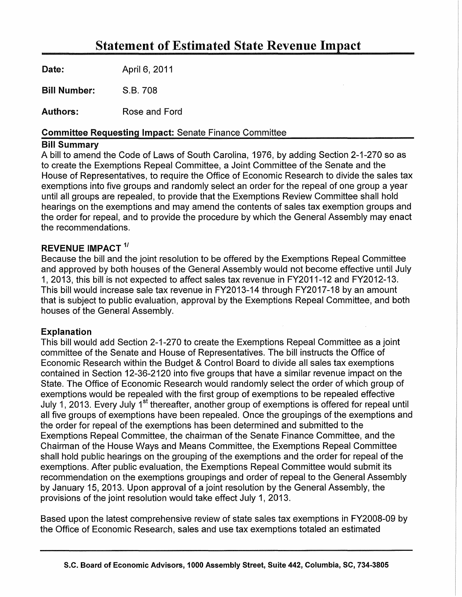# Statement of Estimated State Revenue Impact

Date: April 6, 2011

Bill Number: S.B. 708

Authors: Rose and Ford

### Committee Requesting Impact: Senate Finance Committee

### Bill Summary

A bill to amend the Code of Laws of South Carolina, 1976, by adding Section 2-1-270 so as to create the Exemptions Repeal Committee, a Joint Committee of the Senate and the House of Representatives, to require the Office of Economic Research to divide the sales tax exemptions into five groups and randomly select an order for the repeal of one group a year until all groups are repealed, to provide that the Exemptions Review Committee shall hold hearings on the exemptions and may amend the contents of sales tax exemption groups and the order for repeal, and to provide the procedure by which the General Assembly may enact the recommendations.

# REVENUE IMPACT<sup>1/</sup>

Because the bill and the joint resolution to be offered by the Exemptions Repeal Committee and approved by both houses of the General Assembly would not become effective until July 1, 2013, this bill is not expected to affect sales tax revenue in FY2011-12 and FY2012-13. This bill would increase sale tax revenue in FY2013-14 through FY2017-18 by an amount that is subject to public evaluation, approval by the Exemptions Repeal Committee, and both houses of the General Assembly.

# Explanation

This bill would add Section 2-1-270 to create the Exemptions Repeal Committee as a joint committee of the Senate and House of Representatives. The bill instructs the Office of Economic Research within the Budget & Control Board to divide all sales tax exemptions contained in Section 12-36-2120 into five groups that have a similar revenue impact on the State. The Office of Economic Research would randomly select the order of which group of exemptions would be repealed with the first group of exemptions to be repealed effective July 1, 2013. Every July 1<sup>st</sup> thereafter, another group of exemptions is offered for repeal until all five groups of exemptions have been repealed. Once the groupings of the exemptions and the order for repeal of the exemptions has been determined and submitted to the Exemptions Repeal Committee, the chairman of the Senate Finance Committee, and the Chairman of the House Ways and Means Committee, the Exemptions Repeal Committee shall hold public hearings on the grouping of the exemptions and the order for repeal of the exemptions. After public evaluation, the Exemptions Repeal Committee would submit its recommendation on the exemptions groupings and order of repeal to the General Assembly by January 15, 2013. Upon approval of a joint resolution by the General Assembly, the provisions of the joint resolution would take effect July 1, 2013.

Based upon the latest comprehensive review of state sales tax exemptions in FY2008-09 by the Office of Economic Research, sales and use tax exemptions totaled an estimated